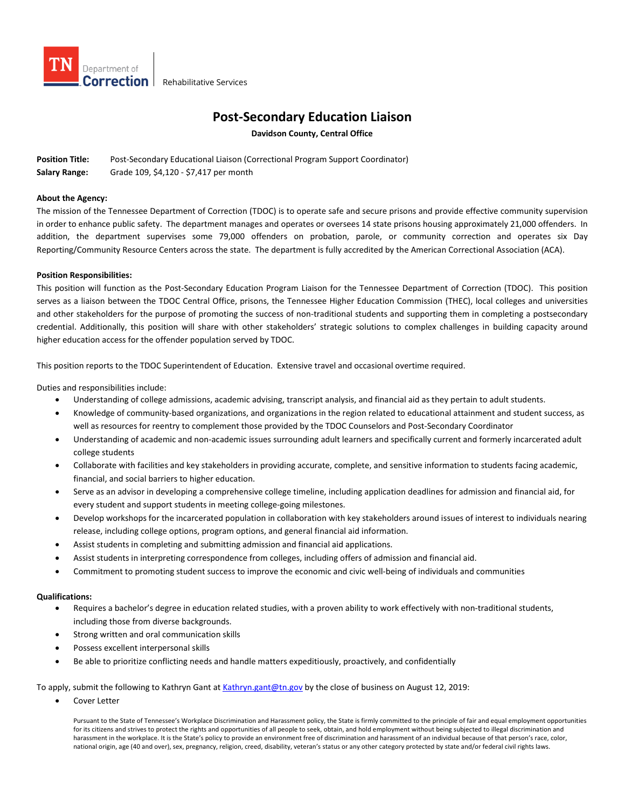

## **Post-Secondary Education Liaison**

**Davidson County, Central Office**

**Position Title:** Post-Secondary Educational Liaison (Correctional Program Support Coordinator) **Salary Range:** Grade 109, \$4,120 - \$7,417 per month

## **About the Agency:**

The mission of the Tennessee Department of Correction (TDOC) is to operate safe and secure prisons and provide effective community supervision in order to enhance public safety. The department manages and operates or oversees 14 state prisons housing approximately 21,000 offenders. In addition, the department supervises some 79,000 offenders on probation, parole, or community correction and operates six Day Reporting/Community Resource Centers across the state. The department is fully accredited by the American Correctional Association (ACA).

## **Position Responsibilities:**

This position will function as the Post-Secondary Education Program Liaison for the Tennessee Department of Correction (TDOC). This position serves as a liaison between the TDOC Central Office, prisons, the Tennessee Higher Education Commission (THEC), local colleges and universities and other stakeholders for the purpose of promoting the success of non-traditional students and supporting them in completing a postsecondary credential. Additionally, this position will share with other stakeholders' strategic solutions to complex challenges in building capacity around higher education access for the offender population served by TDOC.

This position reports to the TDOC Superintendent of Education. Extensive travel and occasional overtime required.

Duties and responsibilities include:

- Understanding of college admissions, academic advising, transcript analysis, and financial aid as they pertain to adult students.
- Knowledge of community-based organizations, and organizations in the region related to educational attainment and student success, as well as resources for reentry to complement those provided by the TDOC Counselors and Post-Secondary Coordinator
- Understanding of academic and non-academic issues surrounding adult learners and specifically current and formerly incarcerated adult college students
- Collaborate with facilities and key stakeholders in providing accurate, complete, and sensitive information to students facing academic, financial, and social barriers to higher education.
- Serve as an advisor in developing a comprehensive college timeline, including application deadlines for admission and financial aid, for every student and support students in meeting college-going milestones.
- Develop workshops for the incarcerated population in collaboration with key stakeholders around issues of interest to individuals nearing release, including college options, program options, and general financial aid information.
- Assist students in completing and submitting admission and financial aid applications.
- Assist students in interpreting correspondence from colleges, including offers of admission and financial aid.
- Commitment to promoting student success to improve the economic and civic well-being of individuals and communities

## **Qualifications:**

- Requires a bachelor's degree in education related studies, with a proven ability to work effectively with non-traditional students, including those from diverse backgrounds.
- Strong written and oral communication skills
- Possess excellent interpersonal skills
- Be able to prioritize conflicting needs and handle matters expeditiously, proactively, and confidentially

To apply, submit the following to Kathryn Gant a[t Kathryn.gant@tn.gov](mailto:Kathryn.gant@tn.gov) by the close of business on August 12, 2019:

Cover Letter

Pursuant to the State of Tennessee's Workplace Discrimination and Harassment policy, the State is firmly committed to the principle of fair and equal employment opportunities for its citizens and strives to protect the rights and opportunities of all people to seek, obtain, and hold employment without being subjected to illegal discrimination and harassment in the workplace. It is the State's policy to provide an environment free of discrimination and harassment of an individual because of that person's race, color, national origin, age (40 and over), sex, pregnancy, religion, creed, disability, veteran's status or any other category protected by state and/or federal civil rights laws.